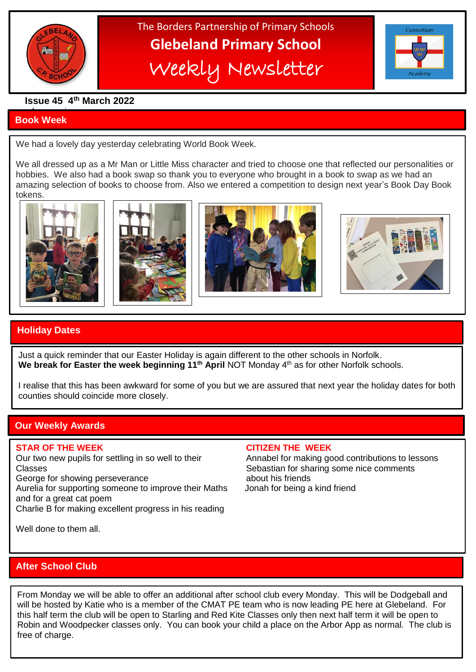

# The Borders Partnership of Primary Schools **Glebeland Primary School** Weekly Newsletter



#### **Issue 45 4th March 2022**

#### a bumper issues in the second second in the second second second in the second second second in the second second second second second second second second second second second second second second second second second sec **Book Week**

We had a lovely day yesterday celebrating World Book Week.

 $\overline{\phantom{a}}$ 

We all dressed up as a Mr Man or Little Miss character and tried to choose one that reflected our personalities or hobbies. We also had a book swap so thank you to everyone who brought in a book to swap as we had an amazing selection of books to choose from. Also we entered a competition to design next year's Book Day Book tokens.









### **Holiday Dates**

Just a quick reminder that our Easter Holiday is again different to the other schools in Norfolk. **We break for Easter the week beginning 11th April** NOT Monday 4th as for other Norfolk schools.

I realise that this has been awkward for some of you but we are assured that next year the holiday dates for both counties should coincide more closely.

#### **Our Weekly Awards**

Our two new pupils for settling in so well to their Annabel for making good contributions to lessons Classes Classes Classes Sebastian for sharing some nice comments George for showing perseverance about his friends Aurelia for supporting someone to improve their Maths Jonah for being a kind friend

and for a great cat poem

Charlie B for making excellent progress in his reading

**STAR OF THE WEEK CITIZEN THE WEEK**

Well done to them all.

#### **After School Club**

 will be hosted by Katie who is a member of the CMAT PE team who is now leading PE here at Glebeland. For this half term the club will be open to Starling and Red Kite Classes only then next half term it will be open to From Monday we will be able to offer an additional after school club every Monday. This will be Dodgeball and Robin and Woodpecker classes only. You can book your child a place on the Arbor App as normal. The club is free of charge.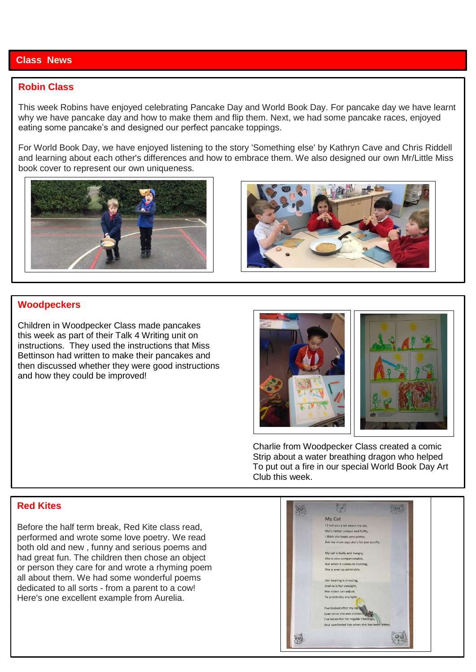#### **Class News**

#### **Robin Class**

This week Robins have enjoyed celebrating Pancake Day and World Book Day. For pancake day we have learnt why we have pancake day and how to make them and flip them. Next, we had some pancake races, enjoyed eating some pancake's and designed our perfect pancake toppings.

For World Book Day, we have enjoyed listening to the story 'Something else' by Kathryn Cave and Chris Riddell and learning about each other's differences and how to embrace them. We also designed our own Mr/Little Miss book cover to represent our own uniqueness.





#### **Woodpeckers**

Children in Woodpecker Class made pancakes this week as part of their Talk 4 Writing unit on instructions. They used the instructions that Miss Bettinson had written to make their pancakes and then discussed whether they were good instructions and how they could be improved!



 Charlie from Woodpecker Class created a comic Strip about a water breathing dragon who helped To put out a fire in our special World Book Day Art Club this week.

#### **Red Kites**

Before the half term break, Red Kite class read, performed and wrote some love poetry. We read both old and new , funny and serious poems and had great fun. The children then chose an object or person they care for and wrote a rhyming poem all about them. We had some wonderful poems dedicated to all sorts - from a parent to a cow! Here's one excellent example from Aurelia.